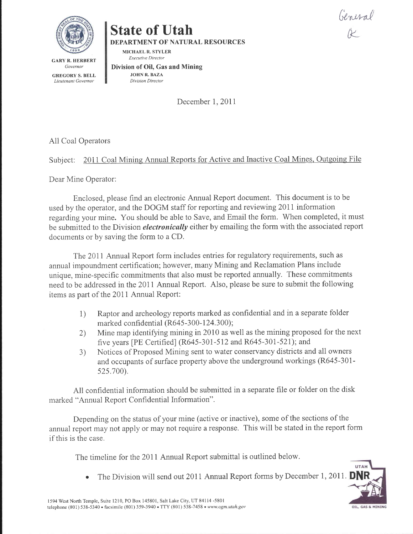General K

UTAH

OIL, GAS & MINING



# State of Utah DEPARTMENT OF NATURAL RESOURCES

MICHAEL R. STYLER Executive Director

GARY R. HERBERT Governor GREGORY S. BELL Lieutenant Govemor

Division of Oil, Gas and Mining JOHN R. BAZA Division Director

December 1, 2011

All Coal Operators

Subject: 2011 Coal Mining Annual Reports for Active and Inactive Coal Mines, Outgoing File

Dear Mine Operator:

Enclosed, please find an electronic Annual Report document. This document is to be used by the operator, and the DOGM staff for reporting and reviewing 2011 information regarding your mine. You should be able to Save, and Email the form. When completed, it must be submitted to the Division *electronically* either by emailing the form with the associated report documents or by saving the form to a CD.

The 2011 Annual Report form includes entries for regulatory requirements, such as annual impoundment certification; however, many Mining and Reclamation Plans include unique, mine-specific commitments that also must be reported annually. These commitments need to be addressed in the 20Il Annual Report. A1so, please be sure to submit the following items as part of the 20II Annual Report:

- 1) Raptor and archeology reports marked as confidential and in aseparate folder marked confidential (R645-300-124.300);
- 2) Mine map identifying mining in 2010 as well as the mining proposed for the next five years [PE Certified] (R645-301-512 and R645-301-521); and
- 3) Notices of Proposed Mining sent to water conservancy districts and al1 owners and occupants of surface property above the underground workings (R645-301- 525.700).

All confidential information should be submitted in a separate file or folder on the disk marked "Annual Report Confidential Information".

Depending on the status of your mine (active or inactive), some of the sections of the annual report may not apply or may not require a response. This will be stated in the report form if this is the case.

The timeline for the 2011 Annual Report submittal is outlined below.

The Division will send out 2011 Annual Report forms by December I,2017.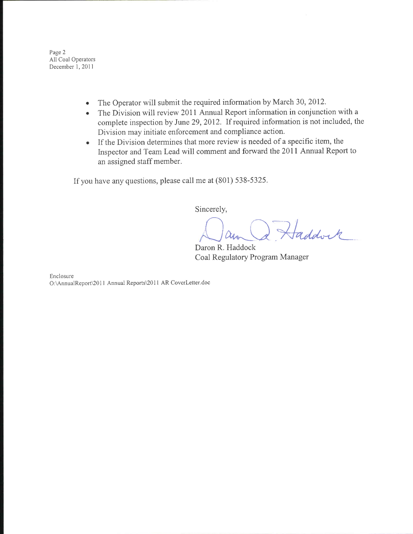Page 2 All Coal Operators December 1, 2011

- The Operator will submit the required information by March 30,2012. a
- The Division will review 2011 Annual Report information in conjunction with a complete inspection by June 29,2012. If required information is not included, the Division may initiate enforcement and compliance action. a
- If the Division determines that more review is needed of a specific item, the lnspector and Team Lead will comment and forward the 20II Annual Report to an assigned staff member.

If you have any questions, please call me at (801) 538-5325.

Sincerely,

Oan Q Haddock

Daron R. Haddock Coal Regulatory Program Manager

Enclosure O:\AnnualReport\2011 Annual Reports\2011 AR CoverLetter.doc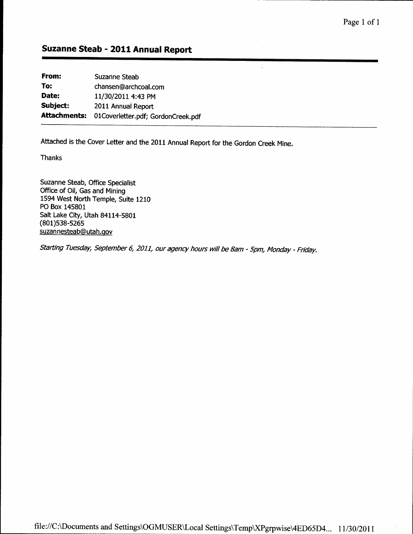Ą.

### Suzanne Steab - 2011 Annual Report

From: To: Date: Subject: Attachments: 01Coverletter.pdf; GordonCreek.pdf Suzanne Steab chansen@archcoal.com 11/30/2011 4:43 PM 2011 Annual Report

Attached is the Cover Letter and the 2011 Annual Report for the Gordon Creek Mine.

**Thanks** 

Suzanne Steab, Office Specialist Office of Oil, Gas and Mining 1594 West North Temple, Suite 1210 PO Box 145801 Salt Lake City, Utah 84114-5801 (801)s38-s26s suzannesteab@utah.gov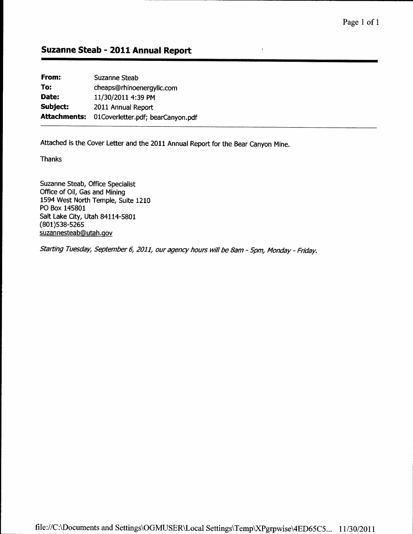$\frac{1}{2}$ 

## Suzanne Steab - 2011 Annual Report

| From:               | <b>Suzanne Steab</b>              |
|---------------------|-----------------------------------|
| To:                 | cheaps@rhinoenergyllc.com         |
| Date:               | 11/30/2011 4:39 PM                |
| Subject:            | 2011 Annual Report                |
| <b>Attachments:</b> | 01Coverletter.pdf; bearCanyon.pdf |
|                     |                                   |

Attached is the Cover Letter and the 2011 Annual Report for the Bear Canyon Mine.

Thanks

Suzanne Steab, Office Specialist Office of Oil, Gas and Mining 1594 West North Temple, Suite 1210 PO Box 145801 Salt Lake City, Utah 84114-5801 (801)s38-s26s suzannesteab@utah.gov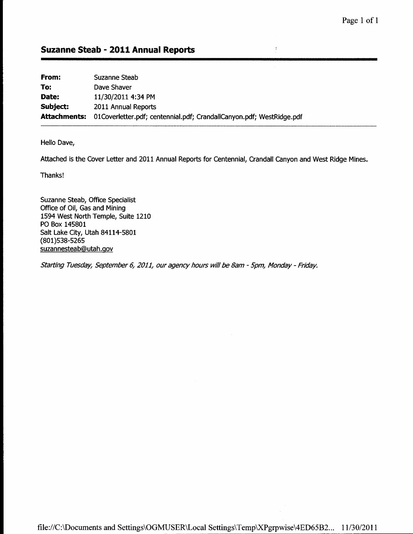$\frac{1}{3}$ 

### Suzanne Steab - 2011 Annual Reports

| From:        | Suzanne Steab                                                        |
|--------------|----------------------------------------------------------------------|
| To:          | Dave Shaver                                                          |
| Date:        | 11/30/2011 4:34 PM                                                   |
| Subject:     | 2011 Annual Reports                                                  |
| Attachments: | 01Coverletter.pdf; centennial.pdf; CrandallCanyon.pdf; WestRidge.pdf |

Hello Dave,

Attached is the Cover Letter and 2011 Annual Reports for Centennial, Crandall Canyon and West Ridge Mines.

Thanks!

Suzanne Steab, Office Specialist Office of Oil, Gas and Mining 1594 West North Temple, Suite 1210 PO Box 145801 Salt Lake City, Utah 84114-5801 (801)s38-s26s suzannesteab@utah.qov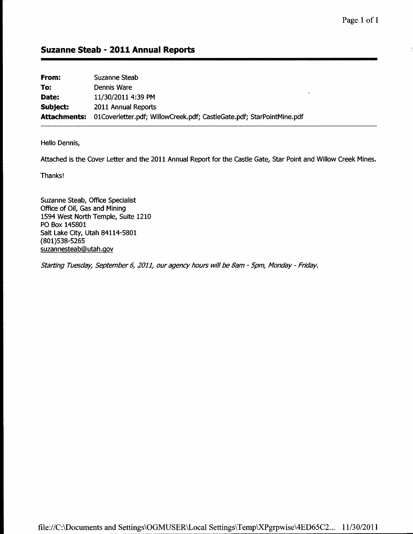| From:        | Suzanne Steab                                                         |
|--------------|-----------------------------------------------------------------------|
| To:          | Dennis Ware                                                           |
| Date:        | 11/30/2011 4:39 PM                                                    |
| Subject:     | 2011 Annual Reports                                                   |
| Attachments: | 01Coverletter.pdf; WillowCreek.pdf; CastleGate.pdf; StarPointMine.pdf |

Hello Dennis,

Attached is the Cover Letter and the 2011 Annual Report for the Castle Gate, Star Point and Willow Creek Mines.

Thanks!

Suzanne Steab, Office Specialist Office of Oil, Gas and Mining 1594 West North Temple, Suite 1210 PO Box 145801 Salt Lake City, Utah 84114-5801 (801)s38-s26s suzannesteab@utah.gov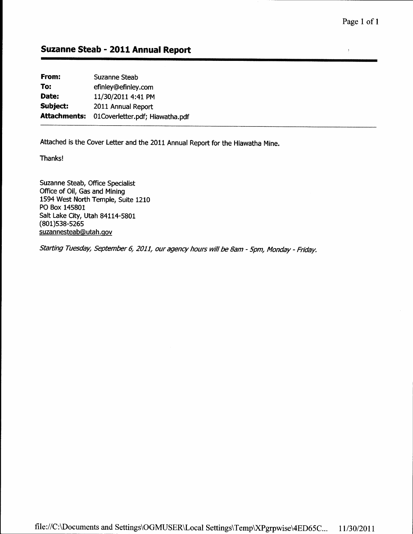$\bar{\bf J}$ 

## Suzanne Steab - 2011 Annual Report

From: To: Date: Subject: Attachments: Suzanne Steab efinley@efinley.com 11/30/2011 4:41 PM 2011 Annual Report OlCoverletter. pdf; Hiawatha. pdf

Attached is the Cover Letter and the 2011 Annual Report for the Hiawatha Mine.

Thanks!

Suzanne Steab, Office Specialist Office of Oil, Gas and Mining 1594 West North Temple, Suite 1210 PO Box 145801 Salt Lake City, Utah 84114-5801 (801)s38-s26s suzannesteab@utah.qov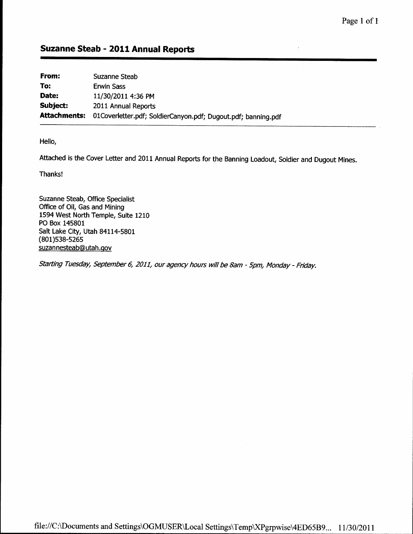| From:    | Suzanne Steab                                                              |
|----------|----------------------------------------------------------------------------|
| To:      | <b>Erwin Sass</b>                                                          |
| Date:    | 11/30/2011 4:36 PM                                                         |
| Subject: | 2011 Annual Reports                                                        |
|          | Attachments: 01Coverletter.pdf; SoldierCanyon.pdf; Dugout.pdf; banning.pdf |

Hello,

Attached is the Cover Letter and 2011 Annual Reports for the Banning Loadout, Soldier and Dugout Mines.

Thanks!

Suzanne Steab, Office Specialist Office of Oil, Gas and Mining 1594 West North Temple, Suite 1210 PO Box 145801 Salt Lake City, Utah 84114-5801 (801)s38-s26s suzannesteab@utah.gov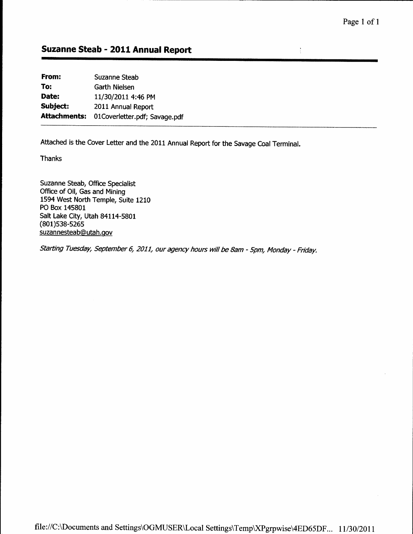$\frac{1}{4}$ 

## Suzanne Steab - 2011 Annual Report

| From:               | Suzanne Steab                 |
|---------------------|-------------------------------|
| To:                 | Garth Nielsen                 |
| Date:               | 11/30/2011 4:46 PM            |
| Subject:            | 2011 Annual Report            |
| <b>Attachments:</b> | 01Coverletter.pdf; Savage.pdf |
|                     |                               |

Attached is the Cover Letter and the 2011 Annual Report for the Savage CoalTerminal.

Thanks

Suzanne Steab, Office Specialist Office of Oil, Gas and Mining 1594 West North Temple, Suite 1210 PO Box 145801 Salt Lake City, Utah 84114-5801 (801)s38-s26s suzannesteab@utah.gov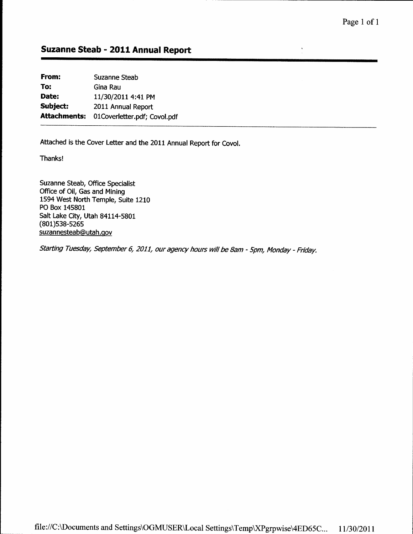$\cdot$ 

# Suzanne Steab - 2011 Annual Report

| From:               | <b>Suzanne Steab</b>         |
|---------------------|------------------------------|
| To:                 | Gina Rau                     |
| Date:               | 11/30/2011 4:41 PM           |
| Subject:            | 2011 Annual Report           |
| <b>Attachments:</b> | 01Coverletter.pdf; Covol.pdf |
|                     |                              |

Attached is the Cover Letter and the 2011 Annual Report for Covol.

Thanks!

Suzanne Steab, Office Specialist Office of Oil, Gas and Mining 1594 West North Temple, Suite 1210 PO Box 145801 Salt Lake City, Utah 84114-5801 (801)s38-s26s suzannesteab@utah.gov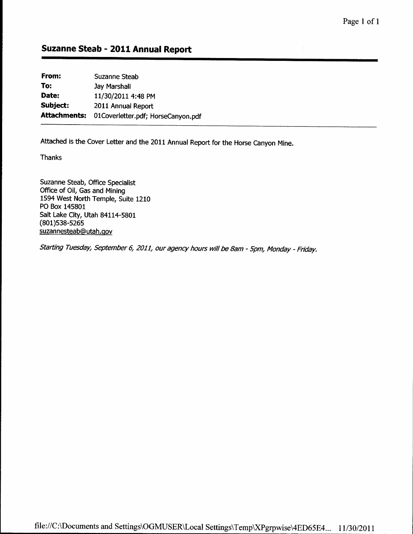| Suzanne Steab                      |
|------------------------------------|
| Jay Marshall                       |
| 11/30/2011 4:48 PM                 |
| 2011 Annual Report                 |
| 01Coverletter.pdf; HorseCanyon.pdf |
|                                    |

Attached is the Cover Letter and the 2011 Annual Report for the Horse Canyon Mine.

Thanks

Suzanne Steab, Office Specialist Office of Oil, Gas and Mining 1594 West North Temple, Suite 1210 PO Box 145801 Salt Lake City, Utah 84114-5801 (801)s38-s26s suzannesteab@utah.qov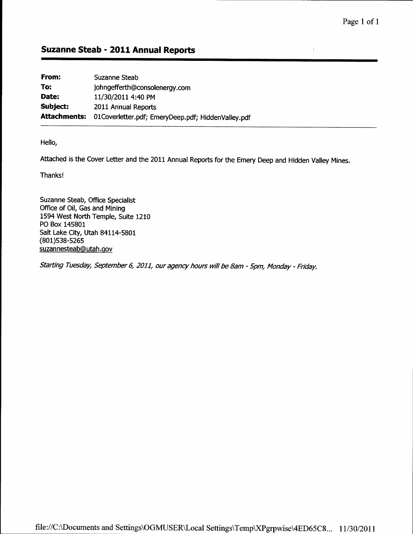$\frac{1}{\epsilon}$ 

### Suzanne Steab - 2011 Annual Reports

| From:               | Suzanne Steab                                      |
|---------------------|----------------------------------------------------|
| To:                 | johngefferth@consolenergy.com                      |
| Date:               | 11/30/2011 4:40 PM                                 |
| Subject:            | 2011 Annual Reports                                |
| <b>Attachments:</b> | 01Coverletter.pdf; EmeryDeep.pdf; HiddenValley.pdf |

Hello,

Attached is the Cover Letter and the 2011 Annual Reports for the Emery Deep and Hidden Valley Mines.

Thanks!

Suzanne Steab, Office Specialist Office of Oil, Gas and Mining 1594 West North Temple, Suite 1210 PO Box 145801 Salt Lake City, Utah 84114-5801 (801)s38-s26s suzannesteab@ utah.gov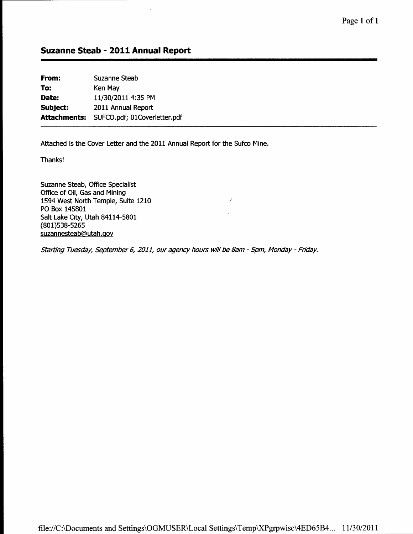| From:    | <b>Suzanne Steab</b>                      |
|----------|-------------------------------------------|
| To:      | Ken May                                   |
| Date:    | 11/30/2011 4:35 PM                        |
| Subject: | 2011 Annual Report                        |
|          | Attachments: SUFCO.pdf; 01Coverletter.pdf |
|          |                                           |

Attached is the Cover Letter and the 2011 Annual Report for the Sufco Mine.

Thanks!

Suzanne Steab, Office Specialist Office of Oil, Gas and Mining 1594 West North Temple, Suite 1210 PO Box 145801 Salt Lake City, Utah 84114-5801 (801)s38-s26s suzannesteab@ utah.qov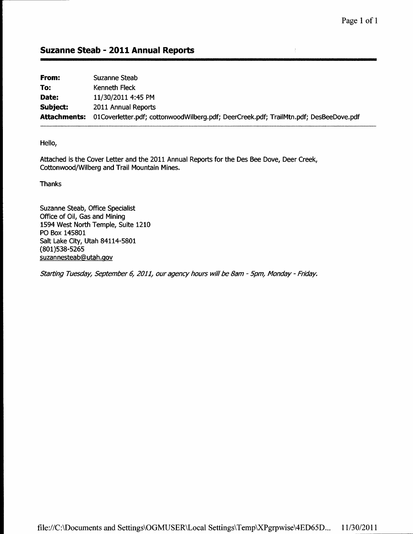$\bar{J}$ 

### Suzanne Steab - 2011 Annual Reports

| From:               | Suzanne Steab                                                                         |
|---------------------|---------------------------------------------------------------------------------------|
| To:                 | Kenneth Fleck                                                                         |
| Date:               | 11/30/2011 4:45 PM                                                                    |
| Subject:            | 2011 Annual Reports                                                                   |
| <b>Attachments:</b> | 01Coverletter.pdf; cottonwoodWilberg.pdf; DeerCreek.pdf; TrailMtn.pdf; DesBeeDove.pdf |

Hello,

Attached is the Cover Letter and the 2011 Annual Reports for the Des Bee Dove, Deer Creek, Cottonwood/Wilberg and Trail Mountain Mines.

Thanks

Suzanne Steab, Office Specialist Office of Oil, Gas and Mining 1594 West North Temple, Suite 1210 PO Box 145801 Salt Lake City, Utah 84114-5801 (801)s38-s26s suzannestea b@utah.gov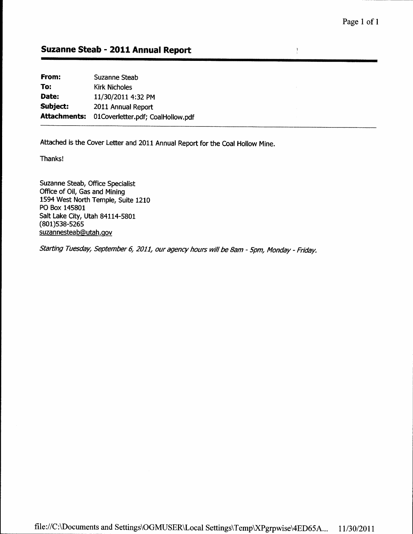$\frac{1}{2}$ 

### Suzanne Steab - 2011 Annual Report

From: To: Date: Subject: Attachments: Suzanne Steab Kirk Nicholes 11/30/2011 4:32 PM 2011 Annual Report 01 Coverletter.pdf; CoalHollow.pdf

Attached is the Cover Letter and 2011 Annual Report for the Coal Hollow Mine.

Thanks!

Suzanne Steab, Office Specialist Office of Oil, Gas and Mining 1594 West North Temple, Suite 1210 PO Box 145801 Salt Lake City, Utah 84114-5801 (801)s38-s26s suzannesteab@utah.gov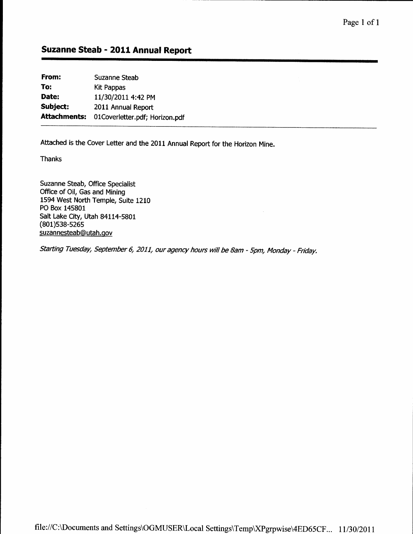| From:               | Suzanne Steab                  |
|---------------------|--------------------------------|
| To:                 | Kit Pappas                     |
| Date:               | 11/30/2011 4:42 PM             |
| Subject:            | 2011 Annual Report             |
| <b>Attachments:</b> | 01Coverletter.pdf; Horizon.pdf |
|                     |                                |

Attached is the Cover Letter and the 2011 Annual Report for the Horizon Mine.

Thanks

Suzanne Steab, Office Specialist Office of Oil, Gas and Mining 1594 West North Temple, Suite 1210 PO Box 145801 Salt Lake City, Utah 84114-5801 (801)s38-s26s suzannesteab@utah.qov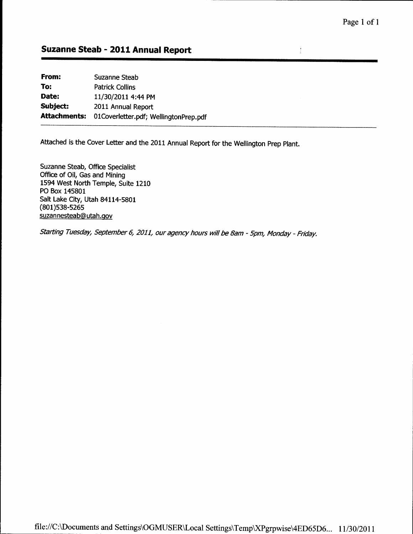$\frac{1}{2}$ 

### Suzanne Steab - 2011 Annual Report

| Suzanne Steab                         |
|---------------------------------------|
| <b>Patrick Collins</b>                |
| 11/30/2011 4:44 PM                    |
| 2011 Annual Report                    |
| 01Coverletter.pdf; WellingtonPrep.pdf |
|                                       |

Attached is the Cover Letter and the 2011 Annual Report for the Wellington prep plant.

Suzanne Steab, Office Specialist Office of Oil, Gas and Mining 1594 West North Temple, Suite 1210 PO Box 145801 Salt Lake City, Utah 84114-5801 (801)s38-s25s suzannesteab@utah.gov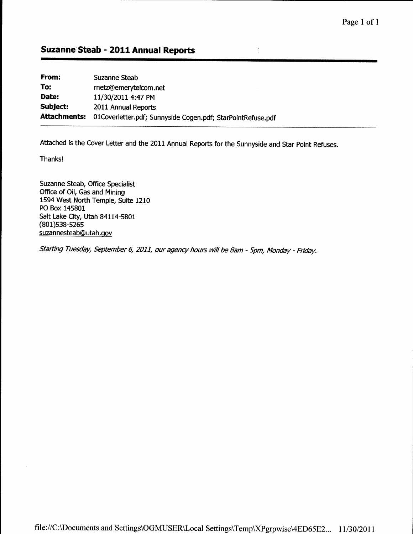| From:               | Suzanne Steab                                               |
|---------------------|-------------------------------------------------------------|
| To:                 | rnetz@emerytelcom.net                                       |
| Date:               | 11/30/2011 4:47 PM                                          |
| Subject:            | 2011 Annual Reports                                         |
| <b>Attachments:</b> | 01Coverletter.pdf; Sunnyside Cogen.pdf; StarPointRefuse.pdf |

Attached is the Cover Letter and the 2011 Annual Reports for the Sunnyside and Star Point Refuses.

 $\frac{1}{4}$ 

Thanks!

Suzanne Steab, Office Specialist Office of Oil, Gas and Mining 1594 West North Temple, Suite 1210 PO Box 145801 Salt Lake City, Utah 84114-5801 (801)s38-s26s suzannesteab@ utah.qov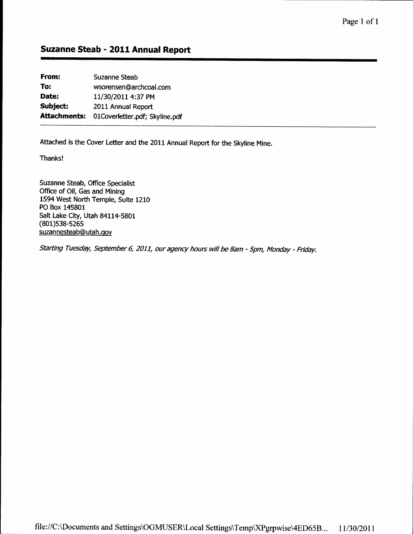From: Suzanne Steab To: wsorensen@archcoal.com Date: 11/30/2011 4:37 PM Subject: 2011 Annual Report Attachments: 0lCoverletter,pdf; Skyline.pdf

Attached is the Cover Letter and the 2011 Annual Report for the Skyline Mine.

Thanks!

Suzanne Steab, Office Specialist Office of Oil, Gas and Mining 1594 West North Temple, Suite 1210 PO Box 145801 Salt Lake City, Utah 84114-5801 (801)s38-s26s suzan nesteab@utah.qov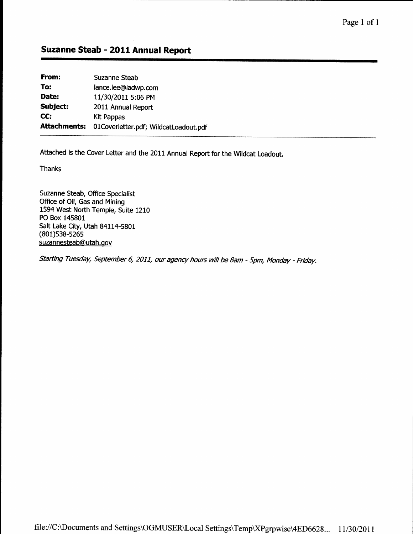| From:        | Suzanne Steab                         |
|--------------|---------------------------------------|
| To:          | lance.lee@ladwp.com                   |
| Date:        | 11/30/2011 5:06 PM                    |
| Subject:     | 2011 Annual Report                    |
| CC:          | Kit Pappas                            |
| Attachments: | 01Coverletter.pdf; WildcatLoadout.pdf |

Attached is the Cover Letter and the 2011 Annual Report for the Wildcat Loadout.

Thanks

Suzanne Steab, Office Specialist Office of Oil, Gas and Mining 1594 West North Temple, Suite 1210 PO Box 145801 Salt Lake City, Utah 84114-5801 (801)s38-s26s suzannesteab@utah. gov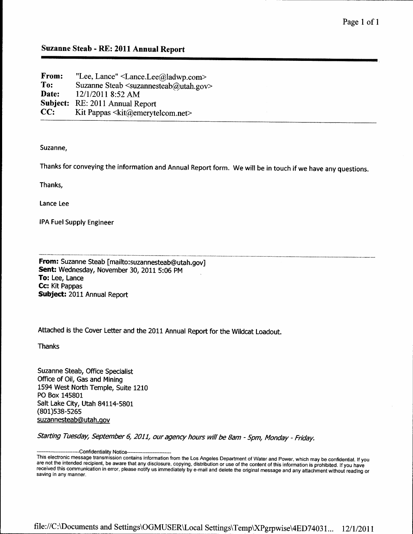| "Lee, Lance" $\leq$ Lance.Lee@ladwp.com>                           |
|--------------------------------------------------------------------|
| Suzanne Steab $\langle$ suzannesteab $\langle a \rangle$ utah.gov> |
| 12/1/2011 8:52 AM                                                  |
| RE: 2011 Annual Report                                             |
| Kit Pappas <kit@emerytelcom.net></kit@emerytelcom.net>             |
|                                                                    |

Suzanne,

Thanks for conveying the information and Annual Report form. We will be in touch if we have any questions.

Thank,

Lance Lee

IPA Fuel Supply Engineer

From: Suzanne Steab [mailto:suzannesteab@utah.gov] Sent: Wednesday, November 30, 2011 5:06 PM To: Lee, Lance Cc: Kit Pappas Subject: 2011 Annual Report

Attached is the Cover Letter and the 2011 Annual Report for the Wildcat Loadout.

Thanks

Suzanne Steab, Office Specialist Office of Oil, Gas and Mining 1594 West North Temple, Suite 1210 PO Box 145801 Salt Lake City, Utah 84114-5801 (801)s38-526s suzannesteab@utah.gov

Starting Tuesday, September 6, 2011, our agency hours will be 8am - 5pm, Monday - Friday.

--Confidentiality Notice---

are not the interided reciptent, be aware that any disclosure, copying, distribution or use or the content of this information is prohibited. If you have<br>received this communication in error, please notify us immediately b This electronic message transmission contains information from the Los Angeles Department of Water and Power, which may be confidential. If you are not the intended recipient, be aware that any disclosure, copying, distribution or use of the content of this information is prohibited. If you have